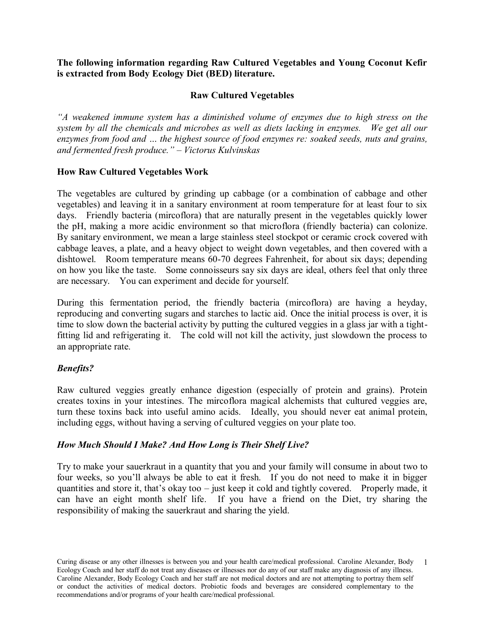**The following information regarding Raw Cultured Vegetables and Young Coconut Kefir is extracted from Body Ecology Diet (BED) literature.**

### **Raw Cultured Vegetables**

*"A weakened immune system has a diminished volume of enzymes due to high stress on the system by all the chemicals and microbes as well as diets lacking in enzymes. We get all our enzymes from food and … the highest source of food enzymes re: soaked seeds, nuts and grains, and fermented fresh produce." – Victorus Kulvinskas*

#### **How Raw Cultured Vegetables Work**

The vegetables are cultured by grinding up cabbage (or a combination of cabbage and other vegetables) and leaving it in a sanitary environment at room temperature for at least four to six days. Friendly bacteria (mircoflora) that are naturally present in the vegetables quickly lower the pH, making a more acidic environment so that microflora (friendly bacteria) can colonize. By sanitary environment, we mean a large stainless steel stockpot or ceramic crock covered with cabbage leaves, a plate, and a heavy object to weight down vegetables, and then covered with a dishtowel. Room temperature means 60-70 degrees Fahrenheit, for about six days; depending on how you like the taste. Some connoisseurs say six days are ideal, others feel that only three are necessary. You can experiment and decide for yourself.

During this fermentation period, the friendly bacteria (mircoflora) are having a heyday, reproducing and converting sugars and starches to lactic aid. Once the initial process is over, it is time to slow down the bacterial activity by putting the cultured veggies in a glass jar with a tightfitting lid and refrigerating it. The cold will not kill the activity, just slowdown the process to an appropriate rate.

## *Benefits?*

Raw cultured veggies greatly enhance digestion (especially of protein and grains). Protein creates toxins in your intestines. The mircoflora magical alchemists that cultured veggies are, turn these toxins back into useful amino acids. Ideally, you should never eat animal protein, including eggs, without having a serving of cultured veggies on your plate too.

## *How Much Should I Make? And How Long is Their Shelf Live?*

Try to make your sauerkraut in a quantity that you and your family will consume in about two to four weeks, so you'll always be able to eat it fresh. If you do not need to make it in bigger quantities and store it, that's okay too – just keep it cold and tightly covered. Properly made, it can have an eight month shelf life. If you have a friend on the Diet, try sharing the responsibility of making the sauerkraut and sharing the yield.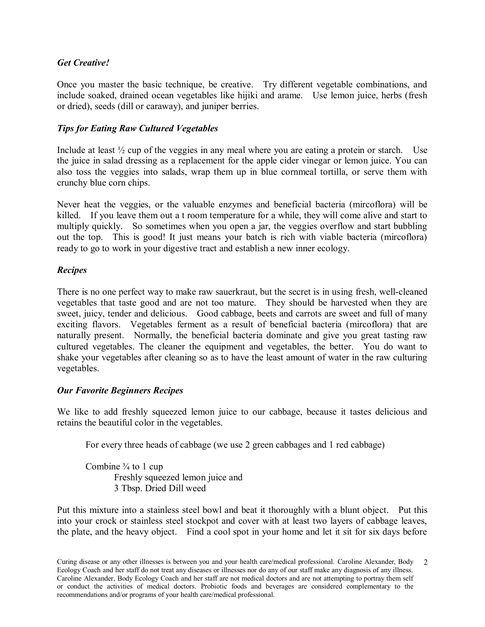## *Get Creative!*

Once you master the basic technique, be creative. Try different vegetable combinations, and include soaked, drained ocean vegetables like hijiki and arame. Use lemon juice, herbs (fresh or dried), seeds (dill or caraway), and juniper berries.

## *Tips for Eating Raw Cultured Vegetables*

Include at least  $\frac{1}{2}$  cup of the veggies in any meal where you are eating a protein or starch. Use the juice in salad dressing as a replacement for the apple cider vinegar or lemon juice. You can also toss the veggies into salads, wrap them up in blue cornmeal tortilla, or serve them with crunchy blue corn chips.

Never heat the veggies, or the valuable enzymes and beneficial bacteria (mircoflora) will be killed. If you leave them out a t room temperature for a while, they will come alive and start to multiply quickly. So sometimes when you open a jar, the veggies overflow and start bubbling out the top. This is good! It just means your batch is rich with viable bacteria (mircoflora) ready to go to work in your digestive tract and establish a new inner ecology.

## *Recipes*

There is no one perfect way to make raw sauerkraut, but the secret is in using fresh, well-cleaned vegetables that taste good and are not too mature. They should be harvested when they are sweet, juicy, tender and delicious. Good cabbage, beets and carrots are sweet and full of many exciting flavors. Vegetables ferment as a result of beneficial bacteria (mircoflora) that are naturally present. Normally, the beneficial bacteria dominate and give you great tasting raw cultured vegetables. The cleaner the equipment and vegetables, the better. You do want to shake your vegetables after cleaning so as to have the least amount of water in the raw culturing vegetables.

## *Our Favorite Beginners Recipes*

We like to add freshly squeezed lemon juice to our cabbage, because it tastes delicious and retains the beautiful color in the vegetables.

For every three heads of cabbage (we use 2 green cabbages and 1 red cabbage)

Combine  $\frac{3}{4}$  to 1 cup Freshly squeezed lemon juice and 3 Tbsp. Dried Dill weed

Put this mixture into a stainless steel bowl and beat it thoroughly with a blunt object. Put this into your crock or stainless steel stockpot and cover with at least two layers of cabbage leaves, the plate, and the heavy object. Find a cool spot in your home and let it sit for six days before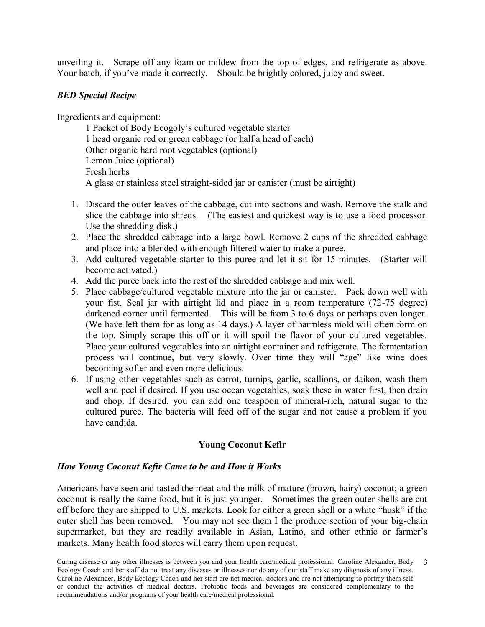unveiling it. Scrape off any foam or mildew from the top of edges, and refrigerate as above. Your batch, if you've made it correctly. Should be brightly colored, juicy and sweet.

### *BED Special Recipe*

Ingredients and equipment:

1 Packet of Body Ecogoly's cultured vegetable starter 1 head organic red or green cabbage (or half a head of each) Other organic hard root vegetables (optional) Lemon Juice (optional) Fresh herbs A glass or stainless steel straight-sided jar or canister (must be airtight)

- 1. Discard the outer leaves of the cabbage, cut into sections and wash. Remove the stalk and slice the cabbage into shreds. (The easiest and quickest way is to use a food processor. Use the shredding disk.)
- 2. Place the shredded cabbage into a large bowl. Remove 2 cups of the shredded cabbage and place into a blended with enough filtered water to make a puree.
- 3. Add cultured vegetable starter to this puree and let it sit for 15 minutes. (Starter will become activated.)
- 4. Add the puree back into the rest of the shredded cabbage and mix well.
- 5. Place cabbage/cultured vegetable mixture into the jar or canister. Pack down well with your fist. Seal jar with airtight lid and place in a room temperature (72-75 degree) darkened corner until fermented. This will be from 3 to 6 days or perhaps even longer. (We have left them for as long as 14 days.) A layer of harmless mold will often form on the top. Simply scrape this off or it will spoil the flavor of your cultured vegetables. Place your cultured vegetables into an airtight container and refrigerate. The fermentation process will continue, but very slowly. Over time they will "age" like wine does becoming softer and even more delicious.
- 6. If using other vegetables such as carrot, turnips, garlic, scallions, or daikon, wash them well and peel if desired. If you use ocean vegetables, soak these in water first, then drain and chop. If desired, you can add one teaspoon of mineral-rich, natural sugar to the cultured puree. The bacteria will feed off of the sugar and not cause a problem if you have candida.

## **Young Coconut Kefir**

#### *How Young Coconut Kefir Came to be and How it Works*

Americans have seen and tasted the meat and the milk of mature (brown, hairy) coconut; a green coconut is really the same food, but it is just younger. Sometimes the green outer shells are cut off before they are shipped to U.S. markets. Look for either a green shell or a white "husk" if the outer shell has been removed. You may not see them I the produce section of your big-chain supermarket, but they are readily available in Asian, Latino, and other ethnic or farmer's markets. Many health food stores will carry them upon request.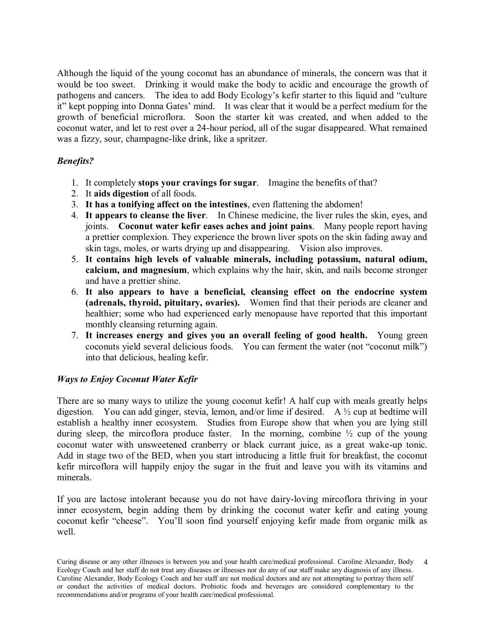Although the liquid of the young coconut has an abundance of minerals, the concern was that it would be too sweet. Drinking it would make the body to acidic and encourage the growth of pathogens and cancers. The idea to add Body Ecology's kefir starter to this liquid and "culture it" kept popping into Donna Gates' mind. It was clear that it would be a perfect medium for the growth of beneficial microflora. Soon the starter kit was created, and when added to the coconut water, and let to rest over a 24-hour period, all of the sugar disappeared. What remained was a fizzy, sour, champagne-like drink, like a spritzer.

## *Benefits?*

- 1. It completely **stops your cravings for sugar**. Imagine the benefits of that?
- 2. It **aids digestion** of all foods.
- 3. **It has a tonifying affect on the intestines**, even flattening the abdomen!
- 4. **It appears to cleanse the liver**. In Chinese medicine, the liver rules the skin, eyes, and joints. **Coconut water kefir eases aches and joint pains**. Many people report having a prettier complexion. They experience the brown liver spots on the skin fading away and skin tags, moles, or warts drying up and disappearing. Vision also improves.
- 5. **It contains high levels of valuable minerals, including potassium, natural odium, calcium, and magnesium**, which explains why the hair, skin, and nails become stronger and have a prettier shine.
- 6. **It also appears to have a beneficial, cleansing effect on the endocrine system (adrenals, thyroid, pituitary, ovaries).** Women find that their periods are cleaner and healthier; some who had experienced early menopause have reported that this important monthly cleansing returning again.
- 7. **It increases energy and gives you an overall feeling of good health.** Young green coconuts yield several delicious foods. You can ferment the water (not "coconut milk") into that delicious, healing kefir.

# *Ways to Enjoy Coconut Water Kefir*

There are so many ways to utilize the young coconut kefir! A half cup with meals greatly helps digestion. You can add ginger, stevia, lemon, and/or lime if desired. A ½ cup at bedtime will establish a healthy inner ecosystem. Studies from Europe show that when you are lying still during sleep, the mircoflora produce faster. In the morning, combine  $\frac{1}{2}$  cup of the young coconut water with unsweetened cranberry or black currant juice, as a great wake-up tonic. Add in stage two of the BED, when you start introducing a little fruit for breakfast, the coconut kefir mircoflora will happily enjoy the sugar in the fruit and leave you with its vitamins and minerals.

If you are lactose intolerant because you do not have dairy-loving mircoflora thriving in your inner ecosystem, begin adding them by drinking the coconut water kefir and eating young coconut kefir "cheese". You'll soon find yourself enjoying kefir made from organic milk as well.

Curing disease or any other illnesses is between you and your health care/medical professional. Caroline Alexander, Body Ecology Coach and her staff do not treat any diseases or illnesses nor do any of our staff make any diagnosis of any illness. Caroline Alexander, Body Ecology Coach and her staff are not medical doctors and are not attempting to portray them self or conduct the activities of medical doctors. Probiotic foods and beverages are considered complementary to the recommendations and/or programs of your health care/medical professional. 4